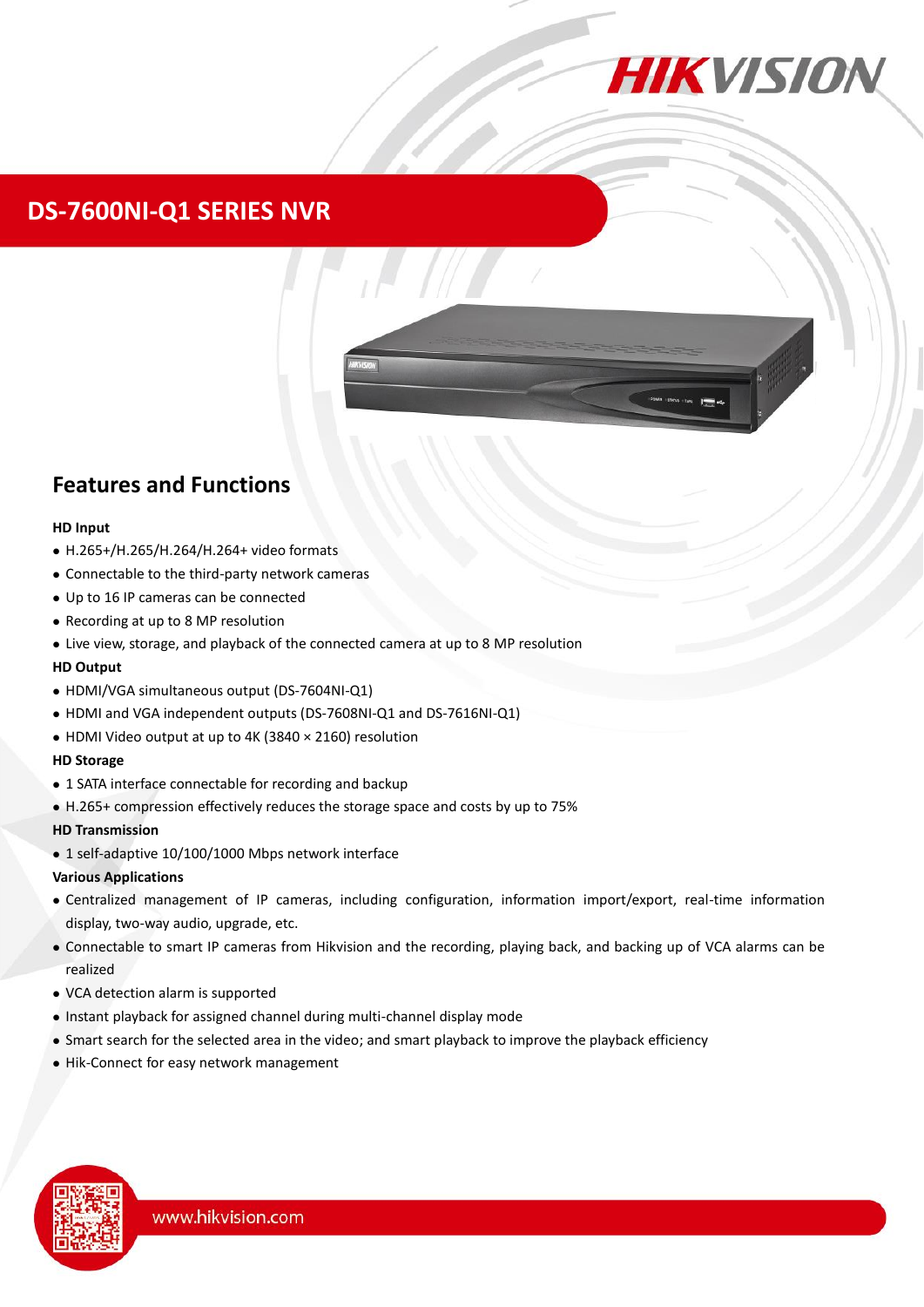

### **DS-7600NI-Q1 SERIES NVR**



### **Features and Functions**

#### **HD Input**

- H.265+/H.265/H.264/H.264+ video formats
- Connectable to the third-party network cameras
- Up to 16 IP cameras can be connected
- Recording at up to 8 MP resolution
- Live view, storage, and playback of the connected camera at up to 8 MP resolution

#### **HD Output**

- HDMI/VGA simultaneous output (DS-7604NI-Q1)
- HDMI and VGA independent outputs (DS-7608NI-Q1 and DS-7616NI-Q1)
- HDMI Video output at up to 4K (3840 × 2160) resolution

#### **HD Storage**

- 1 SATA interface connectable for recording and backup
- H.265+ compression effectively reduces the storage space and costs by up to 75%

#### **HD Transmission**

1 self-adaptive 10/100/1000 Mbps network interface

#### **Various Applications**

- Centralized management of IP cameras, including configuration, information import/export, real-time information display, two-way audio, upgrade, etc.
- Connectable to smart IP cameras from Hikvision and the recording, playing back, and backing up of VCA alarms can be realized
- VCA detection alarm is supported
- Instant playback for assigned channel during multi-channel display mode
- Smart search for the selected area in the video; and smart playback to improve the playback efficiency
- Hik-Connect for easy network management

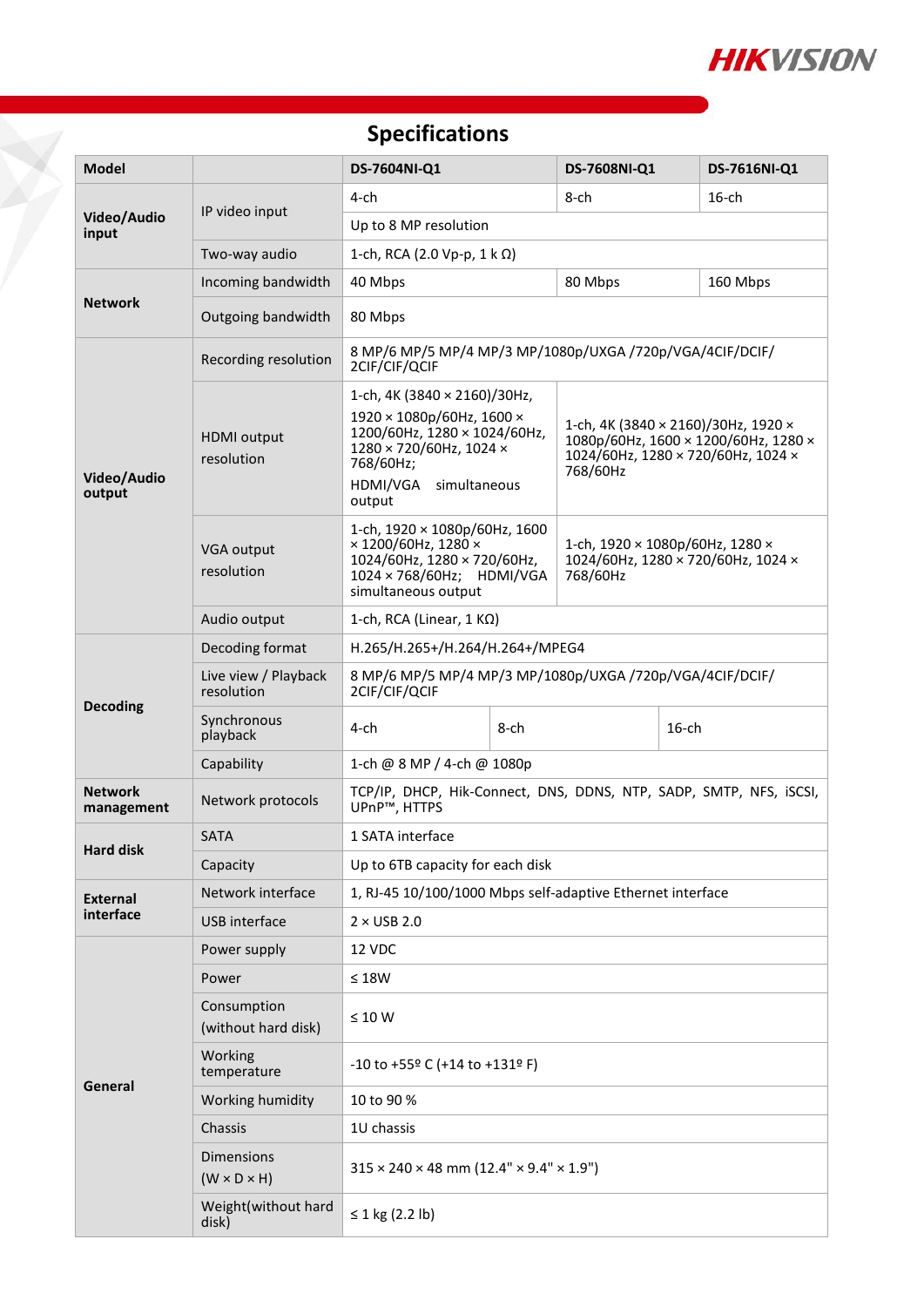

# **Specifications**

T.

| <b>Model</b>                 |                                              | DS-7604NI-Q1                                                                                                                                                                   | DS-7608NI-Q1                                                                                                                  |          | DS-7616NI-Q1 |  |  |
|------------------------------|----------------------------------------------|--------------------------------------------------------------------------------------------------------------------------------------------------------------------------------|-------------------------------------------------------------------------------------------------------------------------------|----------|--------------|--|--|
| Video/Audio<br>input         |                                              | $4$ -ch                                                                                                                                                                        | 8-ch                                                                                                                          |          | $16$ -ch     |  |  |
|                              | IP video input                               | Up to 8 MP resolution                                                                                                                                                          |                                                                                                                               |          |              |  |  |
|                              | Two-way audio                                | 1-ch, RCA (2.0 Vp-p, 1 k Ω)                                                                                                                                                    |                                                                                                                               |          |              |  |  |
| <b>Network</b>               | Incoming bandwidth                           | 40 Mbps                                                                                                                                                                        | 80 Mbps                                                                                                                       |          | 160 Mbps     |  |  |
|                              | Outgoing bandwidth                           | 80 Mbps                                                                                                                                                                        |                                                                                                                               |          |              |  |  |
| Video/Audio<br>output        | Recording resolution                         | 8 MP/6 MP/5 MP/4 MP/3 MP/1080p/UXGA /720p/VGA/4CIF/DCIF/<br>2CIF/CIF/QCIF                                                                                                      |                                                                                                                               |          |              |  |  |
|                              | <b>HDMI</b> output<br>resolution             | 1-ch, 4K (3840 $\times$ 2160)/30Hz,<br>1920 × 1080p/60Hz, 1600 ×<br>1200/60Hz, 1280 × 1024/60Hz,<br>1280 × 720/60Hz, 1024 ×<br>768/60Hz;<br>HDMI/VGA<br>simultaneous<br>output | 1-ch, 4K (3840 × 2160)/30Hz, 1920 ×<br>1080p/60Hz, 1600 × 1200/60Hz, 1280 ×<br>1024/60Hz, 1280 × 720/60Hz, 1024 ×<br>768/60Hz |          |              |  |  |
|                              | VGA output<br>resolution                     | 1-ch, $1920 \times 1080p/60Hz$ , 1600<br>× 1200/60Hz, 1280 ×<br>1024/60Hz, 1280 × 720/60Hz,<br>1024 × 768/60Hz; HDMI/VGA<br>simultaneous output                                | 1-ch, $1920 \times 1080p/60Hz$ , 1280 $\times$<br>1024/60Hz, 1280 × 720/60Hz, 1024 ×<br>768/60Hz                              |          |              |  |  |
|                              | Audio output                                 | 1-ch, RCA (Linear, $1 K\Omega$ )                                                                                                                                               |                                                                                                                               |          |              |  |  |
| <b>Decoding</b>              | Decoding format                              | H.265/H.265+/H.264/H.264+/MPEG4                                                                                                                                                |                                                                                                                               |          |              |  |  |
|                              | Live view / Playback<br>resolution           | 8 MP/6 MP/5 MP/4 MP/3 MP/1080p/UXGA /720p/VGA/4CIF/DCIF/<br>2CIF/CIF/QCIF                                                                                                      |                                                                                                                               |          |              |  |  |
|                              | Synchronous<br>playback                      | 4-ch<br>8-ch                                                                                                                                                                   |                                                                                                                               | $16$ -ch |              |  |  |
|                              | Capability                                   | 1-ch @ 8 MP / 4-ch @ 1080p                                                                                                                                                     |                                                                                                                               |          |              |  |  |
| <b>Network</b><br>management | Network protocols                            | TCP/IP, DHCP, Hik-Connect, DNS, DDNS, NTP, SADP, SMTP, NFS, iSCSI,<br>UPnP™, HTTPS                                                                                             |                                                                                                                               |          |              |  |  |
| <b>Hard disk</b>             | <b>SATA</b>                                  | 1 SATA interface                                                                                                                                                               |                                                                                                                               |          |              |  |  |
|                              | Capacity                                     | Up to 6TB capacity for each disk                                                                                                                                               |                                                                                                                               |          |              |  |  |
| <b>External</b><br>interface | Network interface                            | 1, RJ-45 10/100/1000 Mbps self-adaptive Ethernet interface                                                                                                                     |                                                                                                                               |          |              |  |  |
|                              | <b>USB</b> interface                         | $2 \times$ USB 2.0                                                                                                                                                             |                                                                                                                               |          |              |  |  |
| General                      | Power supply                                 | 12 VDC                                                                                                                                                                         |                                                                                                                               |          |              |  |  |
|                              | Power                                        | $\leq 18W$                                                                                                                                                                     |                                                                                                                               |          |              |  |  |
|                              | Consumption<br>(without hard disk)           | $\leq 10$ W                                                                                                                                                                    |                                                                                                                               |          |              |  |  |
|                              | Working<br>temperature                       | $-10$ to $+55$ <sup>o</sup> C (+14 to +131 <sup>o</sup> F)                                                                                                                     |                                                                                                                               |          |              |  |  |
|                              | Working humidity                             | 10 to 90 %                                                                                                                                                                     |                                                                                                                               |          |              |  |  |
|                              | Chassis                                      | 1U chassis                                                                                                                                                                     |                                                                                                                               |          |              |  |  |
|                              | <b>Dimensions</b><br>$(W \times D \times H)$ | $315 \times 240 \times 48$ mm (12.4" $\times$ 9.4" $\times$ 1.9")                                                                                                              |                                                                                                                               |          |              |  |  |
|                              | Weight(without hard<br>disk)                 | ≤ 1 kg (2.2 lb)                                                                                                                                                                |                                                                                                                               |          |              |  |  |